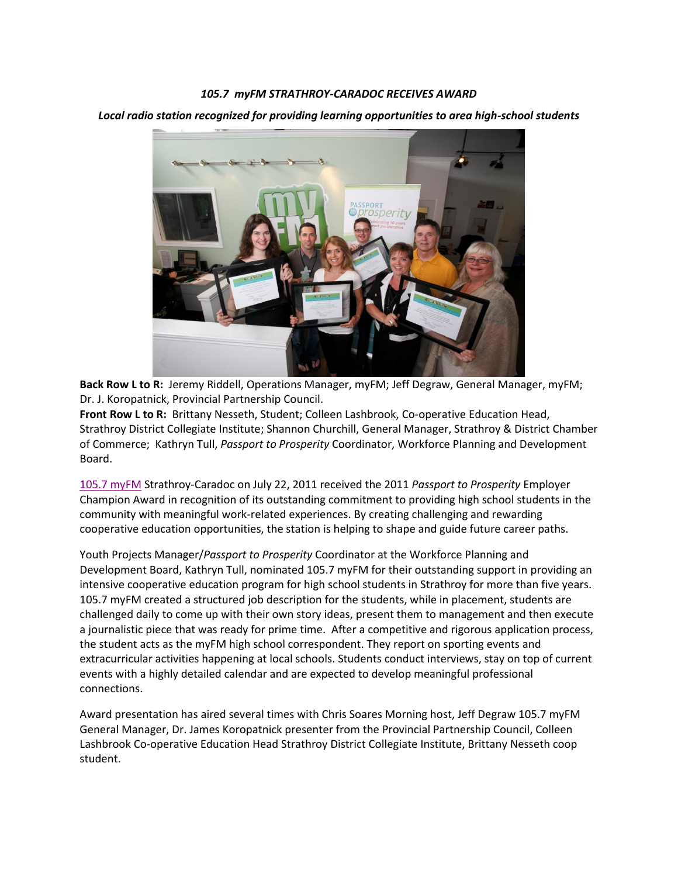## *105.7 myFM STRATHROY-CARADOC RECEIVES AWARD*

*Local radio station recognized for providing learning opportunities to area high-school students*



**Back Row L to R:** Jeremy Riddell, Operations Manager, myFM; Jeff Degraw, General Manager, myFM; Dr. J. Koropatnick, Provincial Partnership Council.

**Front Row L to R:** Brittany Nesseth, Student; Colleen Lashbrook, Co-operative Education Head, Strathroy District Collegiate Institute; Shannon Churchill, General Manager, Strathroy & District Chamber of Commerce; Kathryn Tull, *Passport to Prosperity* Coordinator, Workforce Planning and Development Board.

[105.7 myFM](http://www.myfmradio.ca/) Strathroy-Caradoc on July 22, 2011 received the 2011 *Passport to Prosperity* Employer Champion Award in recognition of its outstanding commitment to providing high school students in the community with meaningful work-related experiences. By creating challenging and rewarding cooperative education opportunities, the station is helping to shape and guide future career paths.

Youth Projects Manager/*Passport to Prosperity* Coordinator at the Workforce Planning and Development Board, Kathryn Tull, nominated 105.7 myFM for their outstanding support in providing an intensive cooperative education program for high school students in Strathroy for more than five years. 105.7 myFM created a structured job description for the students, while in placement, students are challenged daily to come up with their own story ideas, present them to management and then execute a journalistic piece that was ready for prime time. After a competitive and rigorous application process, the student acts as the myFM high school correspondent. They report on sporting events and extracurricular activities happening at local schools. Students conduct interviews, stay on top of current events with a highly detailed calendar and are expected to develop meaningful professional connections.

Award presentation has aired several times with Chris Soares Morning host, Jeff Degraw 105.7 myFM General Manager, Dr. James Koropatnick presenter from the Provincial Partnership Council, Colleen Lashbrook Co-operative Education Head Strathroy District Collegiate Institute, Brittany Nesseth coop student.